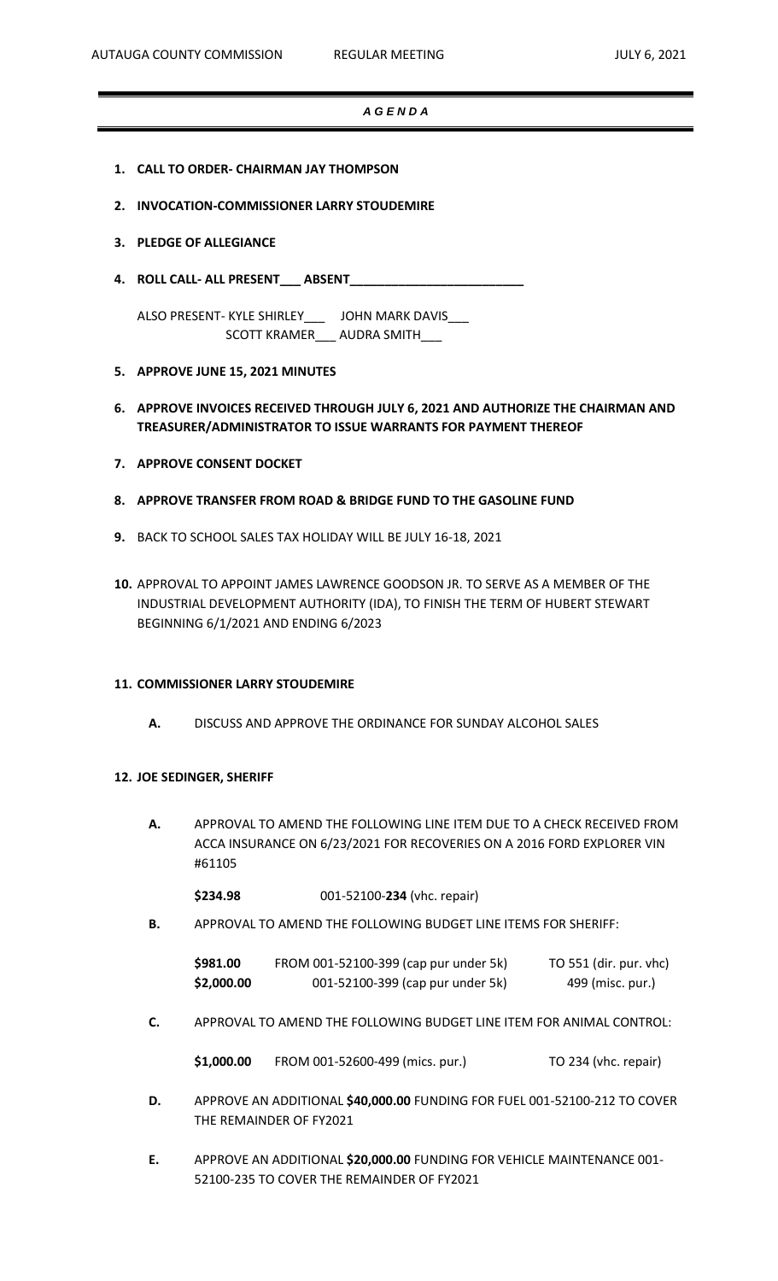## *A G E N D A*

- **1. CALL TO ORDER- CHAIRMAN JAY THOMPSON**
- **2. INVOCATION-COMMISSIONER LARRY STOUDEMIRE**
- **3. PLEDGE OF ALLEGIANCE**
- **4. ROLL CALL- ALL PRESENT\_\_\_ ABSENT\_\_\_\_\_\_\_\_\_\_\_\_\_\_\_\_\_\_\_\_\_\_\_\_\_**

ALSO PRESENT- KYLE SHIRLEY\_\_\_ JOHN MARK DAVIS\_\_\_ SCOTT KRAMER\_\_\_ AUDRA SMITH\_\_\_

- **5. APPROVE JUNE 15, 2021 MINUTES**
- **6. APPROVE INVOICES RECEIVED THROUGH JULY 6, 2021 AND AUTHORIZE THE CHAIRMAN AND TREASURER/ADMINISTRATOR TO ISSUE WARRANTS FOR PAYMENT THEREOF**
- **7. APPROVE CONSENT DOCKET**
- **8. APPROVE TRANSFER FROM ROAD & BRIDGE FUND TO THE GASOLINE FUND**
- **9.** BACK TO SCHOOL SALES TAX HOLIDAY WILL BE JULY 16-18, 2021
- **10.** APPROVAL TO APPOINT JAMES LAWRENCE GOODSON JR. TO SERVE AS A MEMBER OF THE INDUSTRIAL DEVELOPMENT AUTHORITY (IDA), TO FINISH THE TERM OF HUBERT STEWART BEGINNING 6/1/2021 AND ENDING 6/2023

#### **11. COMMISSIONER LARRY STOUDEMIRE**

**A.** DISCUSS AND APPROVE THE ORDINANCE FOR SUNDAY ALCOHOL SALES

## **12. JOE SEDINGER, SHERIFF**

**A.** APPROVAL TO AMEND THE FOLLOWING LINE ITEM DUE TO A CHECK RECEIVED FROM ACCA INSURANCE ON 6/23/2021 FOR RECOVERIES ON A 2016 FORD EXPLORER VIN #61105

**\$234.98** 001-52100-**234** (vhc. repair)

**B.** APPROVAL TO AMEND THE FOLLOWING BUDGET LINE ITEMS FOR SHERIFF:

| \$981.00   | FROM 001-52100-399 (cap pur under 5k) | TO 551 (dir. pur. vhc) |
|------------|---------------------------------------|------------------------|
| \$2,000.00 | 001-52100-399 (cap pur under 5k)      | 499 (misc. pur.)       |

**C.** APPROVAL TO AMEND THE FOLLOWING BUDGET LINE ITEM FOR ANIMAL CONTROL:

| \$1,000.00 | FROM 001-52600-499 (mics. pur.) | TO 234 (vhc. repair) |
|------------|---------------------------------|----------------------|
|------------|---------------------------------|----------------------|

- **D.** APPROVE AN ADDITIONAL **\$40,000.00** FUNDING FOR FUEL 001-52100-212 TO COVER THE REMAINDER OF FY2021
- **E.** APPROVE AN ADDITIONAL **\$20,000.00** FUNDING FOR VEHICLE MAINTENANCE 001- 52100-235 TO COVER THE REMAINDER OF FY2021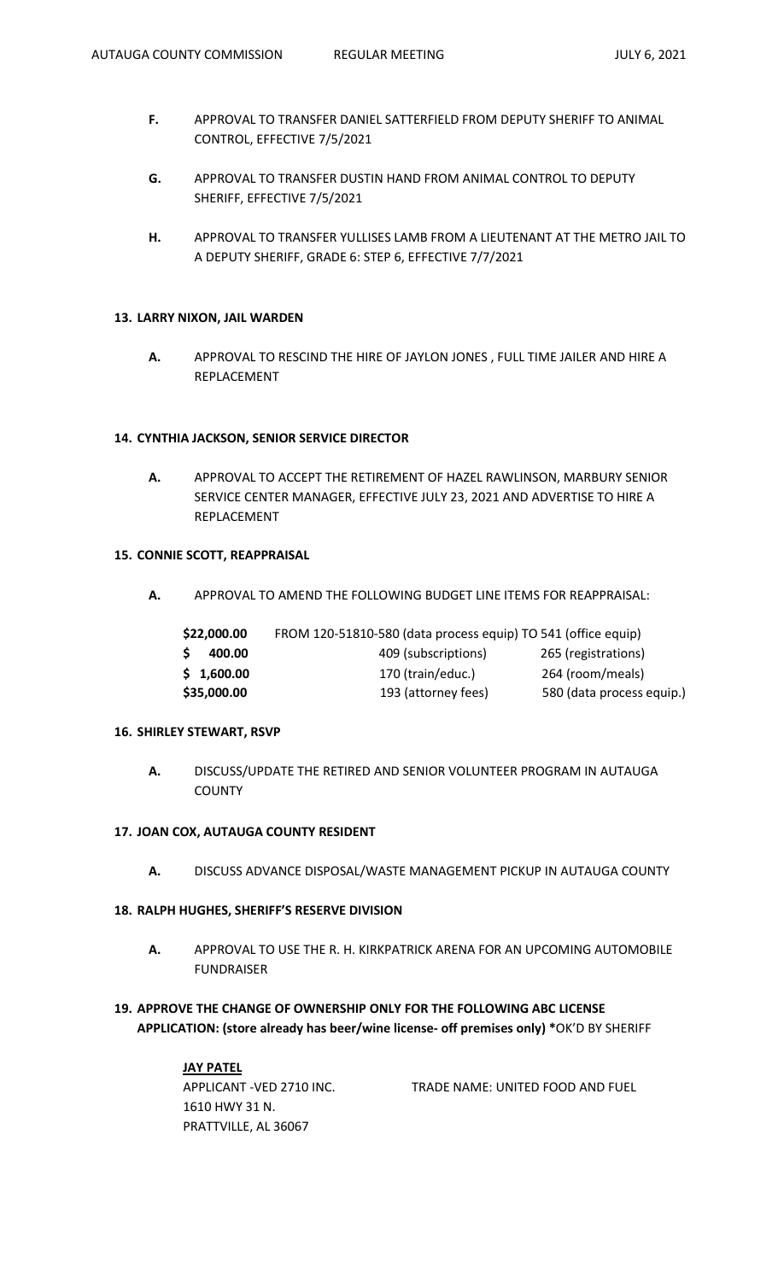- **F.** APPROVAL TO TRANSFER DANIEL SATTERFIELD FROM DEPUTY SHERIFF TO ANIMAL CONTROL, EFFECTIVE 7/5/2021
- **G.** APPROVAL TO TRANSFER DUSTIN HAND FROM ANIMAL CONTROL TO DEPUTY SHERIFF, EFFECTIVE 7/5/2021
- **H.** APPROVAL TO TRANSFER YULLISES LAMB FROM A LIEUTENANT AT THE METRO JAIL TO A DEPUTY SHERIFF, GRADE 6: STEP 6, EFFECTIVE 7/7/2021

#### **13. LARRY NIXON, JAIL WARDEN**

**A.** APPROVAL TO RESCIND THE HIRE OF JAYLON JONES , FULL TIME JAILER AND HIRE A REPLACEMENT

#### **14. CYNTHIA JACKSON, SENIOR SERVICE DIRECTOR**

**A.** APPROVAL TO ACCEPT THE RETIREMENT OF HAZEL RAWLINSON, MARBURY SENIOR SERVICE CENTER MANAGER, EFFECTIVE JULY 23, 2021 AND ADVERTISE TO HIRE A REPLACEMENT

## **15. CONNIE SCOTT, REAPPRAISAL**

**A.** APPROVAL TO AMEND THE FOLLOWING BUDGET LINE ITEMS FOR REAPPRAISAL:

| \$22,000.00  | FROM 120-51810-580 (data process equip) TO 541 (office equip) |                           |
|--------------|---------------------------------------------------------------|---------------------------|
| S.<br>400.00 | 409 (subscriptions)                                           | 265 (registrations)       |
| \$1,600.00   | 170 (train/educ.)                                             | 264 (room/meals)          |
| \$35,000.00  | 193 (attorney fees)                                           | 580 (data process equip.) |
|              |                                                               |                           |

## **16. SHIRLEY STEWART, RSVP**

**A.** DISCUSS/UPDATE THE RETIRED AND SENIOR VOLUNTEER PROGRAM IN AUTAUGA **COUNTY** 

## **17. JOAN COX, AUTAUGA COUNTY RESIDENT**

**A.** DISCUSS ADVANCE DISPOSAL/WASTE MANAGEMENT PICKUP IN AUTAUGA COUNTY

### **18. RALPH HUGHES, SHERIFF'S RESERVE DIVISION**

- **A.** APPROVAL TO USE THE R. H. KIRKPATRICK ARENA FOR AN UPCOMING AUTOMOBILE FUNDRAISER
- **19. APPROVE THE CHANGE OF OWNERSHIP ONLY FOR THE FOLLOWING ABC LICENSE APPLICATION: (store already has beer/wine license- off premises only) \***OK'D BY SHERIFF

| JAY PATEL                |                                  |
|--------------------------|----------------------------------|
| APPLICANT -VED 2710 INC. | TRADE NAME: UNITED FOOD AND FUEL |
| 1610 HWY 31 N.           |                                  |
| PRATTVILLE, AL 36067     |                                  |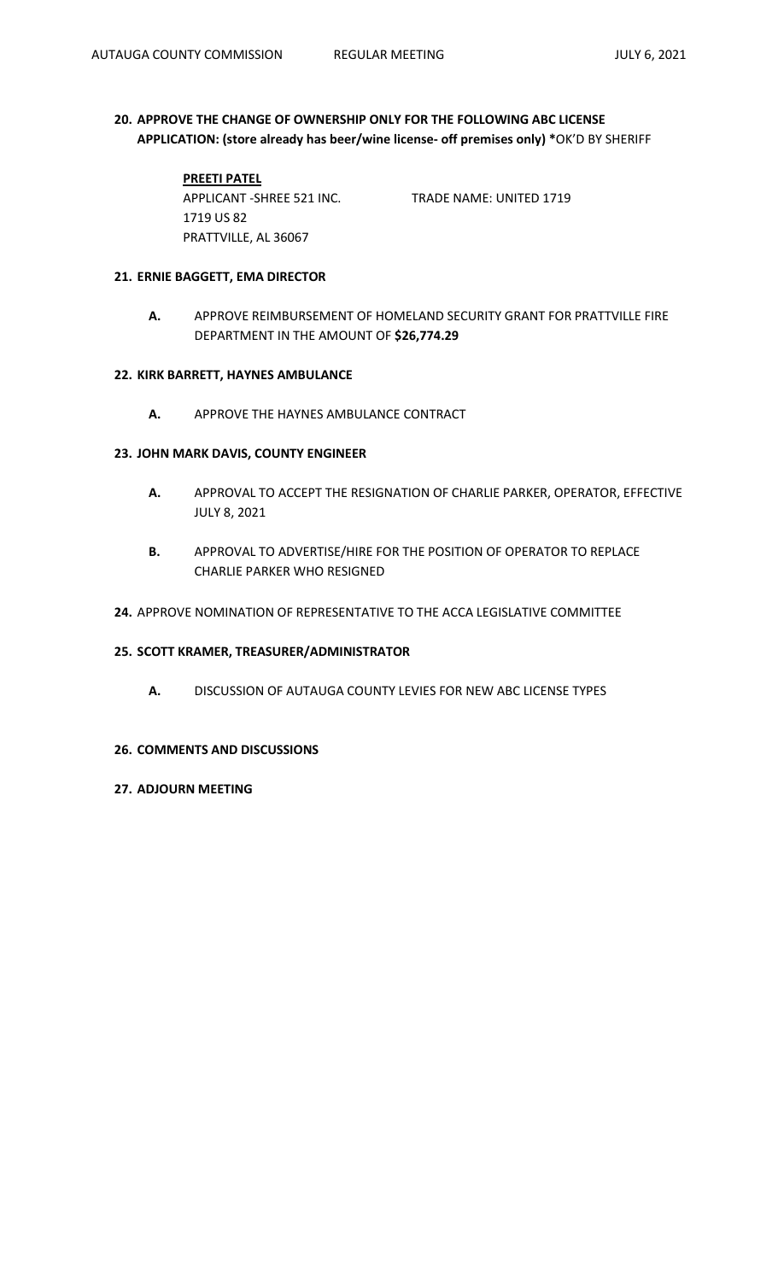# **20. APPROVE THE CHANGE OF OWNERSHIP ONLY FOR THE FOLLOWING ABC LICENSE APPLICATION: (store already has beer/wine license- off premises only) \***OK'D BY SHERIFF

# **PREETI PATEL**

PRATTVILLE, AL 36067

APPLICANT -SHREE 521 INC. TRADE NAME: UNITED 1719

## **21. ERNIE BAGGETT, EMA DIRECTOR**

1719 US 82

**A.** APPROVE REIMBURSEMENT OF HOMELAND SECURITY GRANT FOR PRATTVILLE FIRE DEPARTMENT IN THE AMOUNT OF **\$26,774.29**

### **22. KIRK BARRETT, HAYNES AMBULANCE**

**A.** APPROVE THE HAYNES AMBULANCE CONTRACT

## **23. JOHN MARK DAVIS, COUNTY ENGINEER**

- **A.** APPROVAL TO ACCEPT THE RESIGNATION OF CHARLIE PARKER, OPERATOR, EFFECTIVE JULY 8, 2021
- **B.** APPROVAL TO ADVERTISE/HIRE FOR THE POSITION OF OPERATOR TO REPLACE CHARLIE PARKER WHO RESIGNED
- **24.** APPROVE NOMINATION OF REPRESENTATIVE TO THE ACCA LEGISLATIVE COMMITTEE

#### **25. SCOTT KRAMER, TREASURER/ADMINISTRATOR**

**A.** DISCUSSION OF AUTAUGA COUNTY LEVIES FOR NEW ABC LICENSE TYPES

#### **26. COMMENTS AND DISCUSSIONS**

### **27. ADJOURN MEETING**